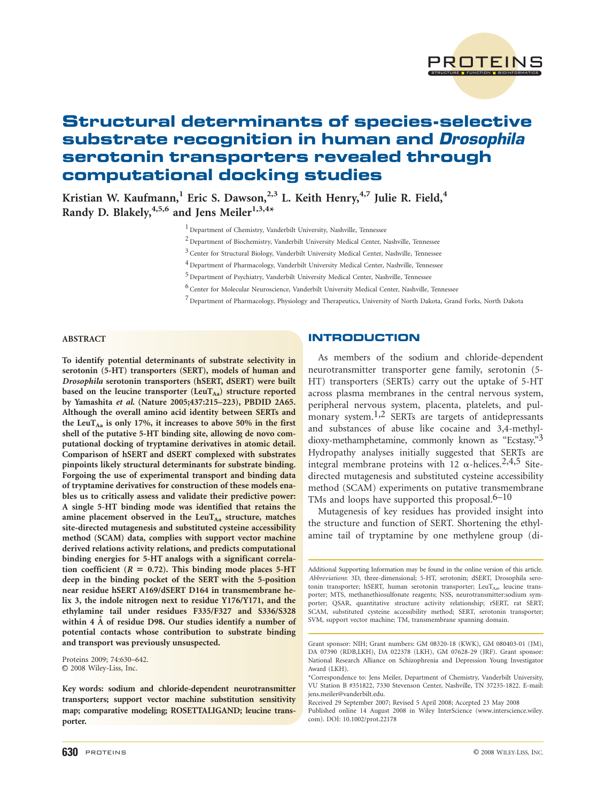

# Structural determinants of species-selective substrate recognition in human and Drosophila serotonin transporters revealed through computational docking studies

Kristian W. Kaufmann,<sup>1</sup> Eric S. Dawson,<sup>2,3</sup> L. Keith Henry,<sup>4,7</sup> Julie R. Field,<sup>4</sup> Randy D. Blakely,  $4,5,6$  and Jens Meiler<sup>1,3,4\*</sup>

<sup>1</sup> Department of Chemistry, Vanderbilt University, Nashville, Tennessee

<sup>2</sup> Department of Biochemistry, Vanderbilt University Medical Center, Nashville, Tennessee

3 Center for Structural Biology, Vanderbilt University Medical Center, Nashville, Tennessee

4 Department of Pharmacology, Vanderbilt University Medical Center, Nashville, Tennessee

<sup>5</sup> Department of Psychiatry, Vanderbilt University Medical Center, Nashville, Tennessee

<sup>6</sup> Center for Molecular Neuroscience, Vanderbilt University Medical Center, Nashville, Tennessee

<sup>7</sup> Department of Pharmacology, Physiology and Therapeutics, University of North Dakota, Grand Forks, North Dakota

# ABSTRACT

To identify potential determinants of substrate selectivity in serotonin (5-HT) transporters (SERT), models of human and Drosophila serotonin transporters (hSERT, dSERT) were built based on the leucine transporter (LeuT<sub>Aa</sub>) structure reported by Yamashita et al. (Nature 2005;437:215–223), PBDID 2A65. Although the overall amino acid identity between SERTs and the LeuT<sub>Aa</sub> is only 17%, it increases to above 50% in the first shell of the putative 5-HT binding site, allowing de novo computational docking of tryptamine derivatives in atomic detail. Comparison of hSERT and dSERT complexed with substrates pinpoints likely structural determinants for substrate binding. Forgoing the use of experimental transport and binding data of tryptamine derivatives for construction of these models enables us to critically assess and validate their predictive power: A single 5-HT binding mode was identified that retains the amine placement observed in the  $LeuT_{Aa}$  structure, matches site-directed mutagenesis and substituted cysteine accessibility method (SCAM) data, complies with support vector machine derived relations activity relations, and predicts computational binding energies for 5-HT analogs with a significant correlation coefficient ( $R = 0.72$ ). This binding mode places 5-HT deep in the binding pocket of the SERT with the 5-position near residue hSERT A169/dSERT D164 in transmembrane helix 3, the indole nitrogen next to residue Y176/Y171, and the ethylamine tail under residues F335/F327 and S336/S328 within 4 A of residue D98. Our studies identify a number of potential contacts whose contribution to substrate binding and transport was previously unsuspected.

Proteins 2009; 74:630–642.  $© 2008 Wiley-Liss, Inc.$ 

# **INTRODUCTION**

As members of the sodium and chloride-dependent neurotransmitter transporter gene family, serotonin (5- HT) transporters (SERTs) carry out the uptake of 5-HT across plasma membranes in the central nervous system, peripheral nervous system, placenta, platelets, and pulmonary system.<sup>1,2</sup> SERTs are targets of antidepressants and substances of abuse like cocaine and 3,4-methyldioxy-methamphetamine, commonly known as "Ecstasy."3 Hydropathy analyses initially suggested that SERTs are integral membrane proteins with 12  $\alpha$ -helices.<sup>2,4,5</sup> Sitedirected mutagenesis and substituted cysteine accessibility method (SCAM) experiments on putative transmembrane TMs and loops have supported this proposal.  $6-10$ 

Mutagenesis of key residues has provided insight into the structure and function of SERT. Shortening the ethylamine tail of tryptamine by one methylene group (di-

Received 29 September 2007; Revised 5 April 2008; Accepted 23 May 2008

Published online 14 August 2008 in Wiley InterScience (www.interscience.wiley. com). DOI: 10.1002/prot.22178

Key words: sodium and chloride-dependent neurotransmitter transporters; support vector machine substitution sensitivity map; comparative modeling; ROSETTALIGAND; leucine transporter.

Additional Supporting Information may be found in the online version of this article. Abbreviations: 3D, three-dimensional; 5-HT, serotonin; dSERT, Drosophila serotonin transporter; hSERT, human serotonin transporter; LeuT $_{\text{Aa}}$ , leucine transporter; MTS, methanethiosulfonate reagents; NSS, neurotransmitter:sodium symporter; QSAR, quantitative structure activity relationship; rSERT, rat SERT; SCAM, substituted cysteine accessibility method; SERT, serotonin transporter; SVM, support vector machine; TM, transmembrane spanning domain.

Grant sponsor: NIH; Grant numbers: GM 08320-18 (KWK), GM 080403-01 (JM), DA 07390 (RDB,LKH), DA 022378 (LKH), GM 07628-29 (JRF). Grant sponsor: National Research Alliance on Schizophrenia and Depression Young Investigator Award (LKH).

<sup>\*</sup>Correspondence to: Jens Meiler, Department of Chemistry, Vanderbilt University, VU Station B #351822, 7330 Stevenson Center, Nashville, TN 37235-1822. E-mail: jens.meiler@vanderbilt.edu.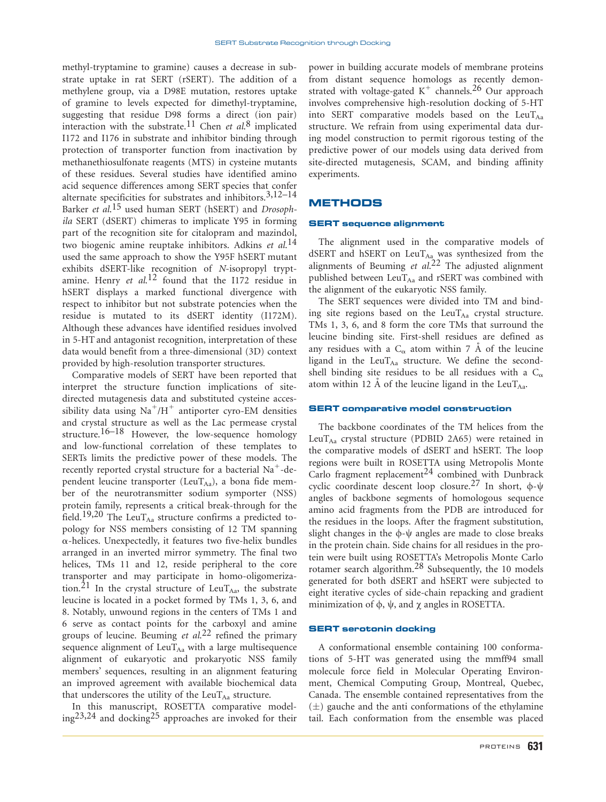methyl-tryptamine to gramine) causes a decrease in substrate uptake in rat SERT (rSERT). The addition of a methylene group, via a D98E mutation, restores uptake of gramine to levels expected for dimethyl-tryptamine, suggesting that residue D98 forms a direct (ion pair) interaction with the substrate.<sup>11</sup> Chen et  $al$ <sup>8</sup> implicated I172 and I176 in substrate and inhibitor binding through protection of transporter function from inactivation by methanethiosulfonate reagents (MTS) in cysteine mutants of these residues. Several studies have identified amino acid sequence differences among SERT species that confer alternate specificities for substrates and inhibitors.<sup>3,12–14</sup> Barker et al.<sup>15</sup> used human SERT (hSERT) and Drosophila SERT (dSERT) chimeras to implicate Y95 in forming part of the recognition site for citalopram and mazindol, two biogenic amine reuptake inhibitors. Adkins et al.<sup>14</sup> used the same approach to show the Y95F hSERT mutant exhibits dSERT-like recognition of N-isopropyl tryptamine. Henry et  $al$ <sup>12</sup> found that the I172 residue in hSERT displays a marked functional divergence with respect to inhibitor but not substrate potencies when the residue is mutated to its dSERT identity (I172M). Although these advances have identified residues involved in 5-HT and antagonist recognition, interpretation of these data would benefit from a three-dimensional (3D) context provided by high-resolution transporter structures.

Comparative models of SERT have been reported that interpret the structure function implications of sitedirected mutagenesis data and substituted cysteine accessibility data using  $\mathrm{Na}^+/H^+$  antiporter cyro-EM densities and crystal structure as well as the Lac permease crystal structure.<sup>16–18</sup> However, the low-sequence homology and low-functional correlation of these templates to SERTs limits the predictive power of these models. The recently reported crystal structure for a bacterial  $Na<sup>+</sup>$ -dependent leucine transporter (LeuTAa), a bona fide member of the neurotransmitter sodium symporter (NSS) protein family, represents a critical break-through for the field.<sup>19,20</sup> The LeuT<sub>Aa</sub> structure confirms a predicted topology for NSS members consisting of 12 TM spanning  $\alpha$ -helices. Unexpectedly, it features two five-helix bundles arranged in an inverted mirror symmetry. The final two helices, TMs 11 and 12, reside peripheral to the core transporter and may participate in homo-oligomerization.<sup>21</sup> In the crystal structure of LeuT<sub>Aa</sub>, the substrate leucine is located in a pocket formed by TMs 1, 3, 6, and 8. Notably, unwound regions in the centers of TMs 1 and 6 serve as contact points for the carboxyl and amine groups of leucine. Beuming et  $al$ ,  $2^2$  refined the primary sequence alignment of  $LeuT_{Aa}$  with a large multisequence alignment of eukaryotic and prokaryotic NSS family members' sequences, resulting in an alignment featuring an improved agreement with available biochemical data that underscores the utility of the  $LeuT_{Aa}$  structure.

In this manuscript, ROSETTA comparative model $ing^{23,24}$  and docking<sup>25</sup> approaches are invoked for their power in building accurate models of membrane proteins from distant sequence homologs as recently demonstrated with voltage-gated  $K^+$  channels.<sup>26</sup> Our approach involves comprehensive high-resolution docking of 5-HT into SERT comparative models based on the LeuT $_{Aa}$ structure. We refrain from using experimental data during model construction to permit rigorous testing of the predictive power of our models using data derived from site-directed mutagenesis, SCAM, and binding affinity experiments.

# METHODS

#### SERT sequence alignment

The alignment used in the comparative models of dSERT and hSERT on LeuT<sub>Aa</sub> was synthesized from the alignments of Beuming et  $al^{22}$  The adjusted alignment published between  $LeuT_{Aa}$  and rSERT was combined with the alignment of the eukaryotic NSS family.

The SERT sequences were divided into TM and binding site regions based on the LeuT $_{\text{Aa}}$  crystal structure. TMs 1, 3, 6, and 8 form the core TMs that surround the leucine binding site. First-shell residues are defined as any residues with a  $C_{\alpha}$  atom within 7 Å of the leucine ligand in the LeuT<sub>Aa</sub> structure. We define the secondshell binding site residues to be all residues with a  $C_\alpha$ atom within 12 A of the leucine ligand in the LeuT<sub>Aa</sub>.

#### SERT comparative model construction

The backbone coordinates of the TM helices from the LeuT $_{\text{Aa}}$  crystal structure (PDBID 2A65) were retained in the comparative models of dSERT and hSERT. The loop regions were built in ROSETTA using Metropolis Monte Carlo fragment replacement<sup>24</sup> combined with Dunbrack cyclic coordinate descent loop closure.<sup>27</sup> In short,  $\phi$ - $\psi$ angles of backbone segments of homologous sequence amino acid fragments from the PDB are introduced for the residues in the loops. After the fragment substitution, slight changes in the  $\phi$ - $\psi$  angles are made to close breaks in the protein chain. Side chains for all residues in the protein were built using ROSETTA's Metropolis Monte Carlo rotamer search algorithm.<sup>28</sup> Subsequently, the 10 models generated for both dSERT and hSERT were subjected to eight iterative cycles of side-chain repacking and gradient minimization of  $\phi$ ,  $\psi$ , and  $\chi$  angles in ROSETTA.

#### SERT serotonin docking

A conformational ensemble containing 100 conformations of 5-HT was generated using the mmff94 small molecule force field in Molecular Operating Environment, Chemical Computing Group, Montreal, Quebec, Canada. The ensemble contained representatives from the  $(\pm)$  gauche and the anti conformations of the ethylamine tail. Each conformation from the ensemble was placed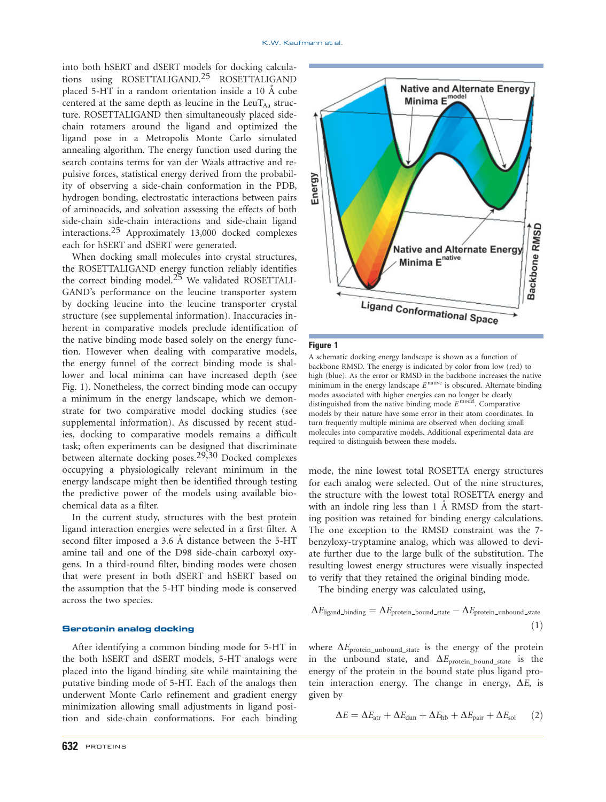into both hSERT and dSERT models for docking calculations using ROSETTALIGAND.<sup>25</sup> ROSETTALIGAND placed 5-HT in a random orientation inside a  $10 \text{ Å}$  cube centered at the same depth as leucine in the LeuT $_{\text{Aa}}$  structure. ROSETTALIGAND then simultaneously placed sidechain rotamers around the ligand and optimized the ligand pose in a Metropolis Monte Carlo simulated annealing algorithm. The energy function used during the search contains terms for van der Waals attractive and repulsive forces, statistical energy derived from the probability of observing a side-chain conformation in the PDB, hydrogen bonding, electrostatic interactions between pairs of aminoacids, and solvation assessing the effects of both side-chain side-chain interactions and side-chain ligand interactions.25 Approximately 13,000 docked complexes each for hSERT and dSERT were generated.

When docking small molecules into crystal structures, the ROSETTALIGAND energy function reliably identifies the correct binding model. $25$  We validated ROSETTALI-GAND's performance on the leucine transporter system by docking leucine into the leucine transporter crystal structure (see supplemental information). Inaccuracies inherent in comparative models preclude identification of the native binding mode based solely on the energy function. However when dealing with comparative models, the energy funnel of the correct binding mode is shallower and local minima can have increased depth (see Fig. 1). Nonetheless, the correct binding mode can occupy a minimum in the energy landscape, which we demonstrate for two comparative model docking studies (see supplemental information). As discussed by recent studies, docking to comparative models remains a difficult task; often experiments can be designed that discriminate between alternate docking poses.<sup>29,30</sup> Docked complexes occupying a physiologically relevant minimum in the energy landscape might then be identified through testing the predictive power of the models using available biochemical data as a filter.

In the current study, structures with the best protein ligand interaction energies were selected in a first filter. A second filter imposed a 3.6 Å distance between the 5-HT amine tail and one of the D98 side-chain carboxyl oxygens. In a third-round filter, binding modes were chosen that were present in both dSERT and hSERT based on the assumption that the 5-HT binding mode is conserved across the two species.

#### Serotonin analog docking

After identifying a common binding mode for 5-HT in the both hSERT and dSERT models, 5-HT analogs were placed into the ligand binding site while maintaining the putative binding mode of 5-HT. Each of the analogs then underwent Monte Carlo refinement and gradient energy minimization allowing small adjustments in ligand position and side-chain conformations. For each binding



#### Figure 1

A schematic docking energy landscape is shown as a function of backbone RMSD. The energy is indicated by color from low (red) to high (blue). As the error or RMSD in the backbone increases the native minimum in the energy landscape  $E^{\text{native}}$  is obscured. Alternate binding modes associated with higher energies can no longer be clearly distinguished from the native binding mode  $E^{\text{model}}$ . Comparative models by their nature have some error in their atom coordinates. In turn frequently multiple minima are observed when docking small molecules into comparative models. Additional experimental data are required to distinguish between these models.

mode, the nine lowest total ROSETTA energy structures for each analog were selected. Out of the nine structures, the structure with the lowest total ROSETTA energy and with an indole ring less than  $1 \text{ Å}$  RMSD from the starting position was retained for binding energy calculations. The one exception to the RMSD constraint was the 7 benzyloxy-tryptamine analog, which was allowed to deviate further due to the large bulk of the substitution. The resulting lowest energy structures were visually inspected to verify that they retained the original binding mode.

The binding energy was calculated using,

$$
\Delta E_{\text{ligand\_binding}} = \Delta E_{\text{protein\_bound\_state}} - \Delta E_{\text{protein\_unbound\_state}} \tag{1}
$$

where  $\Delta E_{\text{protein\_unbound\_state}}$  is the energy of the protein in the unbound state, and  $\Delta E_{\text{protein\_bound\_state}}$  is the energy of the protein in the bound state plus ligand protein interaction energy. The change in energy,  $\Delta E$ , is given by

$$
\Delta E = \Delta E_{\text{atr}} + \Delta E_{\text{dun}} + \Delta E_{\text{hb}} + \Delta E_{\text{pair}} + \Delta E_{\text{sol}} \qquad (2)
$$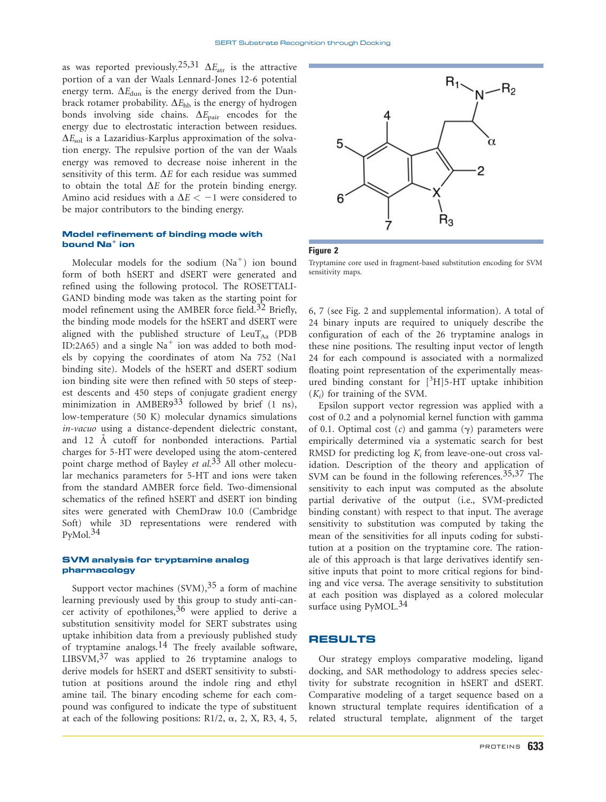as was reported previously.<sup>25,31</sup>  $\Delta E_{\text{atr}}$  is the attractive portion of a van der Waals Lennard-Jones 12-6 potential energy term.  $\Delta E_{\text{dun}}$  is the energy derived from the Dunbrack rotamer probability.  $\Delta E_{hb}$  is the energy of hydrogen bonds involving side chains.  $\Delta E_{\text{pair}}$  encodes for the energy due to electrostatic interaction between residues.  $\Delta E_{\rm sol}$  is a Lazaridius-Karplus approximation of the solvation energy. The repulsive portion of the van der Waals energy was removed to decrease noise inherent in the sensitivity of this term.  $\Delta E$  for each residue was summed to obtain the total  $\Delta E$  for the protein binding energy. Amino acid residues with a  $\Delta E < -1$  were considered to be major contributors to the binding energy.

## Model refinement of binding mode with bound  $\mathbf{N}\mathbf{a}^+$  ion

Molecular models for the sodium  $(Na^+)$  ion bound form of both hSERT and dSERT were generated and refined using the following protocol. The ROSETTALI-GAND binding mode was taken as the starting point for model refinement using the AMBER force field.<sup>32</sup> Briefly, the binding mode models for the hSERT and dSERT were aligned with the published structure of  $LeuT_{Aa}$  (PDB ID:2A65) and a single  $Na<sup>+</sup>$  ion was added to both models by copying the coordinates of atom Na 752 (Na1 binding site). Models of the hSERT and dSERT sodium ion binding site were then refined with 50 steps of steepest descents and 450 steps of conjugate gradient energy minimization in AMBER9<sup>33</sup> followed by brief  $(1 \text{ ns})$ , low-temperature (50 K) molecular dynamics simulations in-vacuo using a distance-dependent dielectric constant, and 12 A cutoff for nonbonded interactions. Partial charges for 5-HT were developed using the atom-centered point charge method of Bayley et al.<sup>33</sup> All other molecular mechanics parameters for 5-HT and ions were taken from the standard AMBER force field. Two-dimensional schematics of the refined hSERT and dSERT ion binding sites were generated with ChemDraw 10.0 (Cambridge Soft) while 3D representations were rendered with  $PyMol.<sup>34</sup>$ 

#### SVM analysis for tryptamine analog pharmacology

Support vector machines  $(SVM)$ ,  $35$  a form of machine learning previously used by this group to study anti-cancer activity of epothilones,  $36$  were applied to derive a substitution sensitivity model for SERT substrates using uptake inhibition data from a previously published study of tryptamine analogs.14 The freely available software, LIBSVM,<sup>37</sup> was applied to 26 tryptamine analogs to derive models for hSERT and dSERT sensitivity to substitution at positions around the indole ring and ethyl amine tail. The binary encoding scheme for each compound was configured to indicate the type of substituent at each of the following positions:  $R1/2$ ,  $\alpha$ , 2, X, R3, 4, 5,



Figure 2

Tryptamine core used in fragment-based substitution encoding for SVM sensitivity maps.

6, 7 (see Fig. 2 and supplemental information). A total of 24 binary inputs are required to uniquely describe the configuration of each of the 26 tryptamine analogs in these nine positions. The resulting input vector of length 24 for each compound is associated with a normalized floating point representation of the experimentally measured binding constant for  $[^{3}H]$ 5-HT uptake inhibition  $(K_i)$  for training of the SVM.

Epsilon support vector regression was applied with a cost of 0.2 and a polynomial kernel function with gamma of 0.1. Optimal cost  $(c)$  and gamma  $(\gamma)$  parameters were empirically determined via a systematic search for best RMSD for predicting  $log K_i$  from leave-one-out cross validation. Description of the theory and application of SVM can be found in the following references.  $35,37$  The sensitivity to each input was computed as the absolute partial derivative of the output (i.e., SVM-predicted binding constant) with respect to that input. The average sensitivity to substitution was computed by taking the mean of the sensitivities for all inputs coding for substitution at a position on the tryptamine core. The rationale of this approach is that large derivatives identify sensitive inputs that point to more critical regions for binding and vice versa. The average sensitivity to substitution at each position was displayed as a colored molecular surface using  $PvMOL.<sup>34</sup>$ 

## RESULTS

Our strategy employs comparative modeling, ligand docking, and SAR methodology to address species selectivity for substrate recognition in hSERT and dSERT. Comparative modeling of a target sequence based on a known structural template requires identification of a related structural template, alignment of the target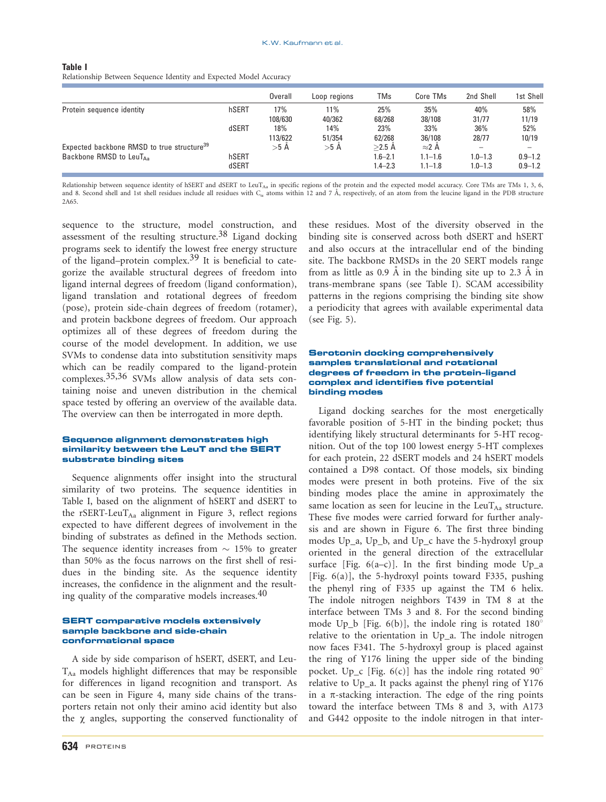| Table I                                                            |  |
|--------------------------------------------------------------------|--|
| Relationship Between Sequence Identity and Expected Model Accuracy |  |

|                                                                                               |                | Overall        | Loop regions  | TMs                                   | Core TMs                                    | 2nd Shell                  | 1st Shell                  |
|-----------------------------------------------------------------------------------------------|----------------|----------------|---------------|---------------------------------------|---------------------------------------------|----------------------------|----------------------------|
| Protein sequence identity                                                                     | hSERT          | 17%<br>108/630 | 11%<br>40/362 | 25%<br>68/268                         | 35%<br>38/108                               | 40%<br>31/77               | 58%<br>11/19               |
|                                                                                               | dSERT          | 18%<br>113/622 | 14%<br>51/354 | 23%<br>62/268                         | 33%<br>36/108                               | 36%<br>28/77               | 52%<br>10/19               |
| Expected backbone RMSD to true structure <sup>39</sup><br>Backbone RMSD to LeuT <sub>Aa</sub> | hSERT<br>dSERT | $>5$ A         | $>5$ A        | $>2.5$ A<br>$.6 - 2.1$<br>$1.4 - 2.3$ | $\approx$ 2 A<br>$1.1 - 1.6$<br>$1.1 - 1.8$ | $1.0 - 1.3$<br>$1.0 - 1.3$ | $0.9 - 1.2$<br>$0.9 - 1.2$ |

Relationship between sequence identity of hSERT and dSERT to LeuT<sub>Aa</sub> in specific regions of the protein and the expected model accuracy. Core TMs are TMs 1, 3, 6, and 8. Second shell and 1st shell residues include all residues with C<sub>a</sub> atoms within 12 and 7 Å, respectively, of an atom from the leucine ligand in the PDB structure 2A65.

sequence to the structure, model construction, and assessment of the resulting structure.38 Ligand docking programs seek to identify the lowest free energy structure of the ligand–protein complex.<sup>39</sup> It is beneficial to categorize the available structural degrees of freedom into ligand internal degrees of freedom (ligand conformation), ligand translation and rotational degrees of freedom (pose), protein side-chain degrees of freedom (rotamer), and protein backbone degrees of freedom. Our approach optimizes all of these degrees of freedom during the course of the model development. In addition, we use SVMs to condense data into substitution sensitivity maps which can be readily compared to the ligand-protein complexes.35,36 SVMs allow analysis of data sets containing noise and uneven distribution in the chemical space tested by offering an overview of the available data. The overview can then be interrogated in more depth.

#### Sequence alignment demonstrates high similarity between the LeuT and the SERT substrate binding sites

Sequence alignments offer insight into the structural similarity of two proteins. The sequence identities in Table I, based on the alignment of hSERT and dSERT to the rSERT-LeuT $_{Aa}$  alignment in Figure 3, reflect regions expected to have different degrees of involvement in the binding of substrates as defined in the Methods section. The sequence identity increases from  $\sim 15\%$  to greater than 50% as the focus narrows on the first shell of residues in the binding site. As the sequence identity increases, the confidence in the alignment and the resulting quality of the comparative models increases. $40$ 

#### SERT comparative models extensively sample backbone and side-chain conformational space

A side by side comparison of hSERT, dSERT, and Leu- $T_{Aa}$  models highlight differences that may be responsible for differences in ligand recognition and transport. As can be seen in Figure 4, many side chains of the transporters retain not only their amino acid identity but also the  $\gamma$  angles, supporting the conserved functionality of these residues. Most of the diversity observed in the binding site is conserved across both dSERT and hSERT and also occurs at the intracellular end of the binding site. The backbone RMSDs in the 20 SERT models range from as little as  $0.9 \text{ Å}$  in the binding site up to  $2.3 \text{ Å}$  in trans-membrane spans (see Table I). SCAM accessibility patterns in the regions comprising the binding site show a periodicity that agrees with available experimental data (see Fig. 5).

#### Serotonin docking comprehensively samples translational and rotational degrees of freedom in the protein–ligand complex and identifies five potential binding modes

Ligand docking searches for the most energetically favorable position of 5-HT in the binding pocket; thus identifying likely structural determinants for 5-HT recognition. Out of the top 100 lowest energy 5-HT complexes for each protein, 22 dSERT models and 24 hSERT models contained a D98 contact. Of those models, six binding modes were present in both proteins. Five of the six binding modes place the amine in approximately the same location as seen for leucine in the  $LeuT_{Aa}$  structure. These five modes were carried forward for further analysis and are shown in Figure 6. The first three binding modes Up\_a, Up\_b, and Up\_c have the 5-hydroxyl group oriented in the general direction of the extracellular surface [Fig.  $6(a-c)$ ]. In the first binding mode Up\_a [Fig. 6(a)], the 5-hydroxyl points toward F335, pushing the phenyl ring of F335 up against the TM 6 helix. The indole nitrogen neighbors T439 in TM 8 at the interface between TMs 3 and 8. For the second binding mode Up\_b [Fig.  $6(b)$ ], the indole ring is rotated  $180^\circ$ relative to the orientation in Up\_a. The indole nitrogen now faces F341. The 5-hydroxyl group is placed against the ring of Y176 lining the upper side of the binding pocket. Up\_c [Fig.  $6(c)$ ] has the indole ring rotated  $90^{\circ}$ relative to Up\_a. It packs against the phenyl ring of Y176 in a  $\pi$ -stacking interaction. The edge of the ring points toward the interface between TMs 8 and 3, with A173 and G442 opposite to the indole nitrogen in that inter-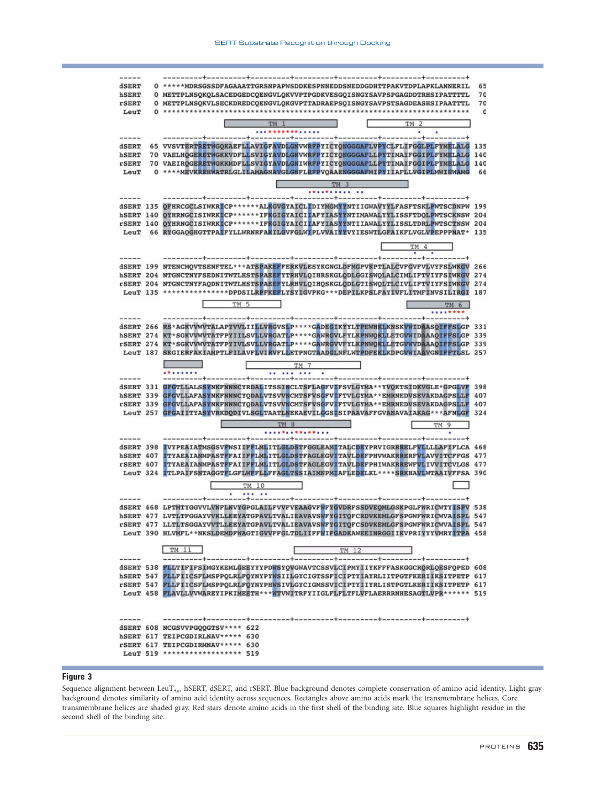**dSERT** 0 \*\*\*\*\*\*MDRSGSSDFAGAAATTGRSNPAPWSDDKESPNNEDDSNEDDGDHTTPAKVTDPLAPKLANNERIL 0 METTPLNSOKOLSACEDGEDCOENGVLOKVVPTPGDKVESGOISNGYSAVPSPGAGDDTRHSIPATTTTL hSERT  $70$ 0 METTPLNSOKVLSECKDREDCOENGVLOKGVPTTADRAEPSOISNGYSAVPSTSAGDEASHSIPAATTTL **rSERT** 70  $\mathbf{o}$ LeuT **TM 1** TM<sub>2</sub> ...............  $- - - - -+$ --------65 VVSVTERTRETWGOKAEFLLAVIGFAVDLGNVWRFPYICYONGGGAFLVPYCLFLIFGGLPLFYMELALG 135 **TERRT hSERT** 70 VAELHOGERETWGKKVDFLLSVIGYAVDLGNVWRFPYICYONGGGAFLLPYTIMAIFGGIPLFYMELALG 140 rSERT 70 VAEIRQGERETWGKKMDFLLSVIGYAVDLGNIWRFPYICYQNGGGAFLLPYTIMAIFGGIPLFYMELALG 140 0 \*\*\*\* MEVKREHWATRLGLILAMAGNAVGLGNFLRFPVOAAENGGGAFMIPYIIAFLLVGIPLMWIEWAMG LeuT 66 TM 3  $---$ dSERT 135 OFHRCGCLSIWKRICP\*\*\*\*\*\*ALKGVGYAICLIDIYMGMYYNTIIGWAVYYLFASFTSKLPWTSCDNPW 199 SERT 140 QYHRNGCISIWRKICP\*\*\*\*\*\*\*IFKGIGYAICIIAFYIASYYNTIMAWALYYLISSFTDQLPWTSCKNSW 204<br>FSERT 140 QYHRNGCISIWRKICP\*\*\*\*\*\*\*IFKGIGYAICIIAFYIASYYNTIMAWALYYLISSFTDQLPWTSCKNSW 204 LeuT 66 RYGGAQGHGTTPAIFYLLWRNRFAKILGVFGLWIPLVVAIYYVYIESWTLGFAIKFLVGLVPEPPPNAT\* 135 TM 4 dSERT 199 NTENCMQVTSENFTEL\*\*\*ATSPAKEFFERKVLESYKGNGLDFMGPVKPTLALCVFGVFVLVYFSLWKGV 266 hSERT 204 NTGNCTNYFSEDNITWTLHSTSPAEEFYTRHVLQIHRSKGLQDLGGISWQLALCIMLIFTVIYFSIWKGV 274 rSERT 204 NTGNCTNYFAQDNITWTLHSTSPAEEFYLRHVLQIHQSKGLQDLGTISWQLTLCIVLIFTVIYFSIWKGV 274 LeuT 135 \*\*\*\*\*\*\*\*\*\*\*\*\*\*\*\*PPDSILRPFKEFLYSYIGVPKG\*\*\*DEPILKPSLFAYIVFLITMFINVSILIRGI 187 TM 5 TM 6 \*\*\*\*\*\*\*\* . . . . . . . + . . . . . . . . . . + . . . . . . . . + . . . . . . . . . + . . . . . . . . . . . . . . . . . + . dSERT 266 RS\*AGKVVWVTALAPYVVLIILLVRGVSLP\*\*\*\*GADEGIKYYLTPEWHKLKNSKVWIDAASOIFFSLGP 331 hSERT 274 KT\*SGKVVWVTATFPYIILSVLLVRGATLP\*\*\*\*GAWRGVLFYLKPNWQKLLETGVWIDAAAQIFFSLGP 339 rSERT 274 KT\*SGKVVWVTATFPYIVLSVLLVRGATLP\*\*\*\*GAWRGVVFYLKPNWQKLLETGVWVDAAAQIFFSLGP 339 LeuT 187 SKGIERFAKIAMPTLFILAVFLVIRVFLLETPNGTAADGLNFLWTPDFEKLKDPGVWIAAVGNIFFTLSL 257 mag ┏ ⊏ TM 7 ........  $----$ dSERT 331 GFGTLLALSSYNKFNNNCYRDALITSSINCLTSFLAGFVIFSVLGYMA\*\*YVQKTSIDKVGLE\*GPGLVF 398 GFGVLLAFASYNKFNNNCYQDALVTSVVNCMTSFVSGFVIFTVLGYMA\*\*EMRNEDVSEVAKDAGPSLLF hSERT 339 407 rSERT 339 GFGVLLAFASYNKFNNNCYQDALVTSVVNCMTSFVSGFVIFTVLGYMA\*\*EMRNEDVSEVAKDAGPSLLF 407 LeuT 257 GFGAIITYASYVRKDODIVLSGLTAATLNEKAEVILGGSISIPAAVAFFGVANAVAIAKAG\*\*\*AFNLGF 324  $TM 8$ TM 9 dSERT 398 IVYPEAIATMSGSVFWSIIFFLMLITLGLDSTFGGLEAMITALCDEYPRVIGRRRELFVLLLLAFIFLCA 468 hSERT 407 ITYAEAIANMPASTFFAIIFFLMLITLGLDSTFAGLEGVITAVLDEFPHVWAKRRERFVLAVVITCFFGS 477 rSERT 407 ITYAEAIANMPASTFFAIIFFLMLITLGLDSTFAGLEGVITAVLDEFPHIWAKRREWFVLIVVITCVLGS 477 LeuT 324 ITLPAIFSNTAGGTFLGFLWFFLLFFAGLTSSIAIMNPMIAFLEDELKL\*\*\*\*SRKHAVLWTAAIVFFSA 390 TM 10 -----dSERT 468 LPTMTYGGVVLVNFLNVYGPGLAILFVVFVEAAGVFWFYGVDRFSSDVEQMLGSKPGLFWRICWTYISPV 538 hSERT 477 LVTLTFGGAYVVKLLEEYATGPAVLTVALIEAVAVSWFYGITQFCRDVKEMLGFSPGWFWRICWVAISPL 547 rSERT 477 LLTLTSGGAYVVTLLEEYATGPAVLTVALIEAVAVSWFYGITQFCSDVKEMLGFSPGWFWRICWVAISPL 547 LeuT 390 HLVMFL\*\*NKSLDEMDFWAGTIGVVFFGLTDLIIFFWIFGADKAWEEINRGGIIKVPRIYYYVMRYITPA 458 TM 11  $TM 12$ ---------+--------dSERT 538 FLLTIFIFSIMGYKEMLGEEYYYPDWSYQVGWAVTCSSVLCIPMYIIYKFFFASKGGCRORLOESFQPED 608 hSERT 547 FLLFIICSFLMSPPQLRLFQYNYPYWSIILGYCIGTSSFICIPTYIAYRLIITPGTFKERIIKSITPETP 617 rSERT 547 FLLFIICSFLMSPPQLRLFQYNYPHWSIVLGYCIGMSSVICIPTYIIYRLISTPGTLKERIIKSITPETP 617 LeuT 458 FLAVLLVVWAREYIPKIMEETH\*\*\*WTVWITRFYIIGLFLFLIFLVFLAERRRNHESAGTLVPR\*\*\*\*\*\* 519 dSERT 608 NCGSVVPGQQGTSV\*\*\*\* 622 hSERT 617 TEIPCGDIRLNAV\*\*\*\*\* 630 rSERT 617 TEIPCGDIRMNAV\*\*\*\*\* 630 LeuT 519 \*\*\*\*\*\*\*\*\*\*\*\*\*\*\*\*\*\* 519

#### Figure 3

Sequence alignment between LeuTAa, hSERT, dSERT, and rSERT. Blue background denotes complete conservation of amino acid identity. Light gray background denotes similarity of amino acid identity across sequences. Rectangles above amino acids mark the transmembrane helices. Core transmembrane helices are shaded gray. Red stars denote amino acids in the first shell of the binding site. Blue squares highlight residue in the second shell of the binding site.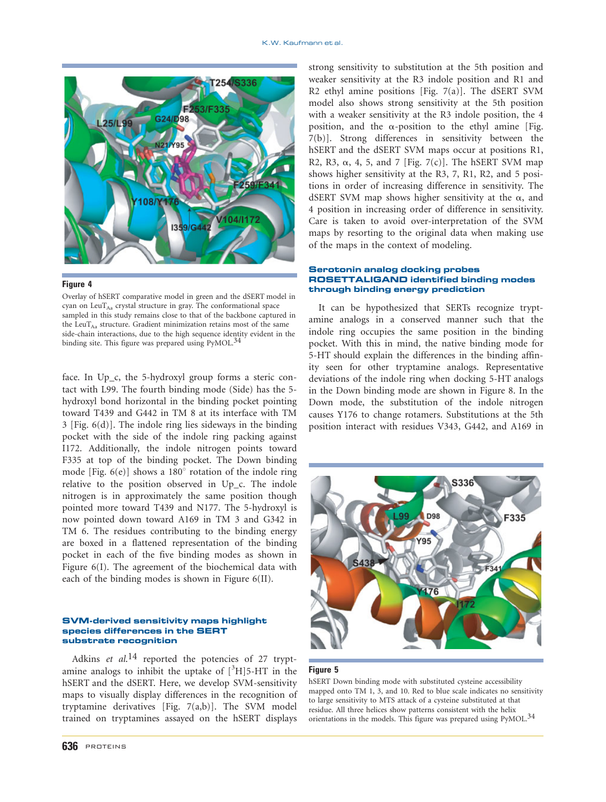

#### Figure 4

Overlay of hSERT comparative model in green and the dSERT model in cyan on LeuT<sub>Aa</sub> crystal structure in gray. The conformational space sampled in this study remains close to that of the backbone captured in the LeuT $_{\text{Aa}}$  structure. Gradient minimization retains most of the same side-chain interactions, due to the high sequence identity evident in the binding site. This figure was prepared using PyMOL.<sup>34</sup>

face. In Up\_c, the 5-hydroxyl group forms a steric contact with L99. The fourth binding mode (Side) has the 5 hydroxyl bond horizontal in the binding pocket pointing toward T439 and G442 in TM 8 at its interface with TM 3 [Fig. 6(d)]. The indole ring lies sideways in the binding pocket with the side of the indole ring packing against I172. Additionally, the indole nitrogen points toward F335 at top of the binding pocket. The Down binding mode [Fig.  $6(e)$ ] shows a 180 $^{\circ}$  rotation of the indole ring relative to the position observed in Up\_c. The indole nitrogen is in approximately the same position though pointed more toward T439 and N177. The 5-hydroxyl is now pointed down toward A169 in TM 3 and G342 in TM 6. The residues contributing to the binding energy are boxed in a flattened representation of the binding pocket in each of the five binding modes as shown in Figure 6(I). The agreement of the biochemical data with each of the binding modes is shown in Figure 6(II).

### SVM-derived sensitivity maps highlight species differences in the SERT substrate recognition

Adkins et al.<sup>14</sup> reported the potencies of 27 tryptamine analogs to inhibit the uptake of  $[{}^{3}H]$ 5-HT in the hSERT and the dSERT. Here, we develop SVM-sensitivity maps to visually display differences in the recognition of tryptamine derivatives [Fig. 7(a,b)]. The SVM model trained on tryptamines assayed on the hSERT displays

strong sensitivity to substitution at the 5th position and weaker sensitivity at the R3 indole position and R1 and R2 ethyl amine positions [Fig. 7(a)]. The dSERT SVM model also shows strong sensitivity at the 5th position with a weaker sensitivity at the R3 indole position, the 4 position, and the  $\alpha$ -position to the ethyl amine [Fig. 7(b)]. Strong differences in sensitivity between the hSERT and the dSERT SVM maps occur at positions R1, R2, R3,  $\alpha$ , 4, 5, and 7 [Fig. 7(c)]. The hSERT SVM map shows higher sensitivity at the R3, 7, R1, R2, and 5 positions in order of increasing difference in sensitivity. The dSERT SVM map shows higher sensitivity at the  $\alpha$ , and 4 position in increasing order of difference in sensitivity. Care is taken to avoid over-interpretation of the SVM maps by resorting to the original data when making use of the maps in the context of modeling.

#### Serotonin analog docking probes ROSETTALIGAND identified binding modes through binding energy prediction

It can be hypothesized that SERTs recognize tryptamine analogs in a conserved manner such that the indole ring occupies the same position in the binding pocket. With this in mind, the native binding mode for 5-HT should explain the differences in the binding affinity seen for other tryptamine analogs. Representative deviations of the indole ring when docking 5-HT analogs in the Down binding mode are shown in Figure 8. In the Down mode, the substitution of the indole nitrogen causes Y176 to change rotamers. Substitutions at the 5th position interact with residues V343, G442, and A169 in



#### Figure 5

hSERT Down binding mode with substituted cysteine accessibility mapped onto TM 1, 3, and 10. Red to blue scale indicates no sensitivity to large sensitivity to MTS attack of a cysteine substituted at that residue. All three helices show patterns consistent with the helix orientations in the models. This figure was prepared using PyMOL.<sup>34</sup>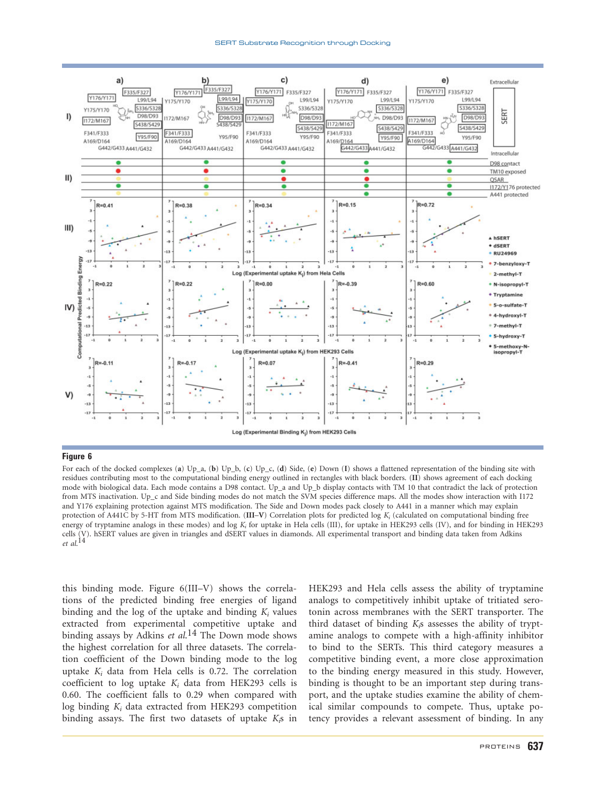

#### Figure 6

For each of the docked complexes (a) Up\_a, (b) Up\_b, (c) Up\_c, (d) Side, (e) Down (I) shows a flattened representation of the binding site with residues contributing most to the computational binding energy outlined in rectangles with black borders. (II) shows agreement of each docking mode with biological data. Each mode contains a D98 contact. Up\_a and Up\_b display contacts with TM 10 that contradict the lack of protection from MTS inactivation. Up\_c and Side binding modes do not match the SVM species difference maps. All the modes show interaction with I172 and Y176 explaining protection against MTS modification. The Side and Down modes pack closely to A441 in a manner which may explain protection of A441C by 5-HT from MTS modification. (III–V) Correlation plots for predicted log  $K_i$  (calculated on computational binding free energy of tryptamine analogs in these modes) and log  $K_i$  for uptake in Hela cells (III), for uptake in HEK293 cells (IV), and for binding in HEK293 cells (V). hSERT values are given in triangles and dSERT values in diamonds. All experimental transport and binding data taken from Adkins et al. 14

this binding mode. Figure 6(III–V) shows the correlations of the predicted binding free energies of ligand binding and the log of the uptake and binding  $K_i$  values extracted from experimental competitive uptake and binding assays by Adkins et al.<sup>14</sup> The Down mode shows the highest correlation for all three datasets. The correlation coefficient of the Down binding mode to the log uptake  $K_i$  data from Hela cells is 0.72. The correlation coefficient to log uptake  $K_i$  data from HEK293 cells is 0.60. The coefficient falls to 0.29 when compared with log binding  $K_i$  data extracted from HEK293 competition binding assays. The first two datasets of uptake  $K<sub>5</sub>$  in

HEK293 and Hela cells assess the ability of tryptamine analogs to competitively inhibit uptake of tritiated serotonin across membranes with the SERT transporter. The third dataset of binding  $K_i$ s assesses the ability of tryptamine analogs to compete with a high-affinity inhibitor to bind to the SERTs. This third category measures a competitive binding event, a more close approximation to the binding energy measured in this study. However, binding is thought to be an important step during transport, and the uptake studies examine the ability of chemical similar compounds to compete. Thus, uptake potency provides a relevant assessment of binding. In any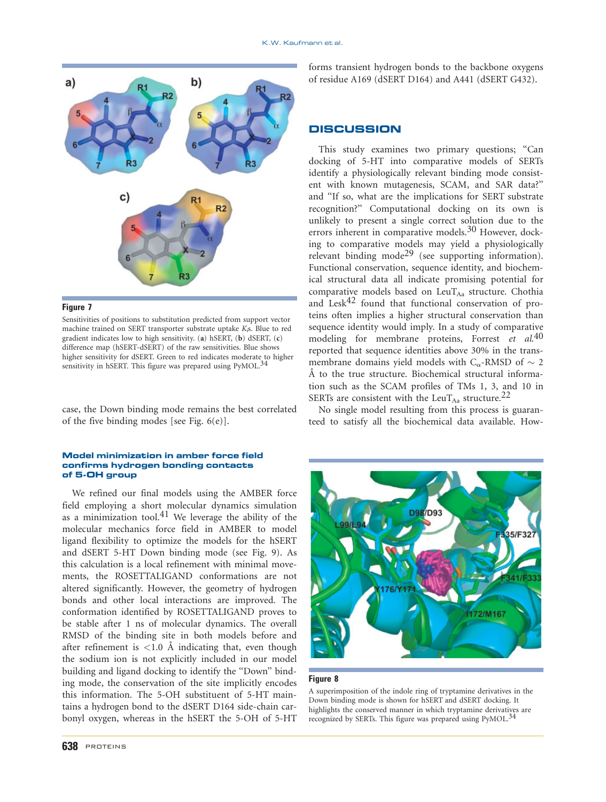

# Figure 7

Sensitivities of positions to substitution predicted from support vector machine trained on SERT transporter substrate uptake  $K_i$ s. Blue to red gradient indicates low to high sensitivity. (a) hSERT, (b) dSERT, (c) difference map (hSERT-dSERT) of the raw sensitivities. Blue shows higher sensitivity for dSERT. Green to red indicates moderate to higher sensitivity in hSERT. This figure was prepared using PyMOL.<sup>34</sup>

case, the Down binding mode remains the best correlated of the five binding modes [see Fig. 6(e)].

#### Model minimization in amber force field confirms hydrogen bonding contacts of 5-OH group

We refined our final models using the AMBER force field employing a short molecular dynamics simulation as a minimization tool.<sup>41</sup> We leverage the ability of the molecular mechanics force field in AMBER to model ligand flexibility to optimize the models for the hSERT and dSERT 5-HT Down binding mode (see Fig. 9). As this calculation is a local refinement with minimal movements, the ROSETTALIGAND conformations are not altered significantly. However, the geometry of hydrogen bonds and other local interactions are improved. The conformation identified by ROSETTALIGAND proves to be stable after 1 ns of molecular dynamics. The overall RMSD of the binding site in both models before and after refinement is  $<$ 1.0 Å indicating that, even though the sodium ion is not explicitly included in our model building and ligand docking to identify the ''Down'' binding mode, the conservation of the site implicitly encodes this information. The 5-OH substituent of 5-HT maintains a hydrogen bond to the dSERT D164 side-chain carbonyl oxygen, whereas in the hSERT the 5-OH of 5-HT

forms transient hydrogen bonds to the backbone oxygens of residue A169 (dSERT D164) and A441 (dSERT G432).

# **DISCUSSION**

This study examines two primary questions; "Can docking of 5-HT into comparative models of SERTs identify a physiologically relevant binding mode consistent with known mutagenesis, SCAM, and SAR data?'' and ''If so, what are the implications for SERT substrate recognition?'' Computational docking on its own is unlikely to present a single correct solution due to the errors inherent in comparative models.<sup>30</sup> However, docking to comparative models may yield a physiologically relevant binding mode29 (see supporting information). Functional conservation, sequence identity, and biochemical structural data all indicate promising potential for comparative models based on LeuT $_{\text{Aa}}$  structure. Chothia and Lesk $42$  found that functional conservation of proteins often implies a higher structural conservation than sequence identity would imply. In a study of comparative modeling for membrane proteins, Forrest et al.<sup>40</sup> reported that sequence identities above 30% in the transmembrane domains yield models with  $C_{\alpha}$ -RMSD of  $\sim 2$ Å to the true structure. Biochemical structural information such as the SCAM profiles of TMs 1, 3, and 10 in SERTs are consistent with the LeuT<sub>Aa</sub> structure.<sup>22</sup>

No single model resulting from this process is guaranteed to satisfy all the biochemical data available. How-



#### Figure 8

A superimposition of the indole ring of tryptamine derivatives in the Down binding mode is shown for hSERT and dSERT docking. It highlights the conserved manner in which tryptamine derivatives are recognized by SERTs. This figure was prepared using PyMOL.<sup>34</sup>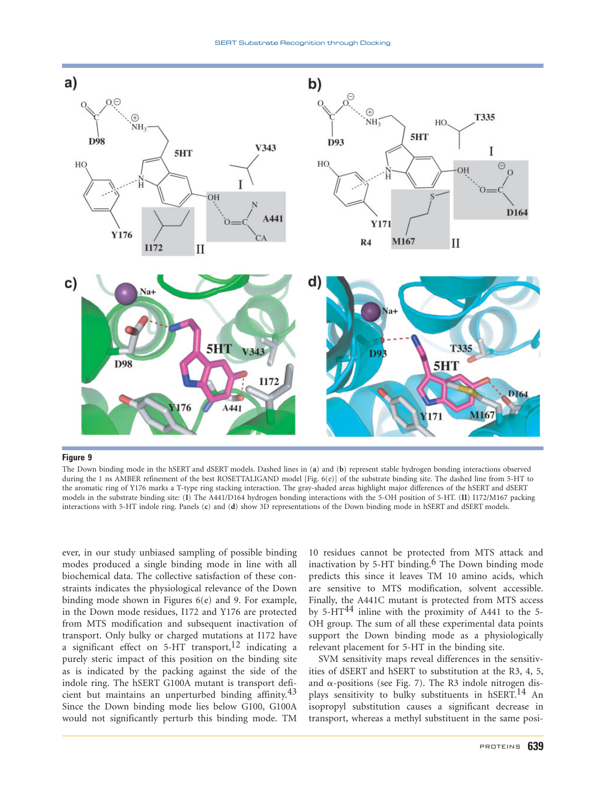

Figure 9

The Down binding mode in the hSERT and dSERT models. Dashed lines in (a) and (b) represent stable hydrogen bonding interactions observed during the 1 ns AMBER refinement of the best ROSETTALIGAND model [Fig. 6(e)] of the substrate binding site. The dashed line from 5-HT to the aromatic ring of Y176 marks a T-type ring stacking interaction. The gray-shaded areas highlight major differences of the hSERT and dSERT models in the substrate binding site: (I) The A441/D164 hydrogen bonding interactions with the 5-OH position of 5-HT. (II) I172/M167 packing interactions with 5-HT indole ring. Panels (c) and (d) show 3D representations of the Down binding mode in hSERT and dSERT models.

ever, in our study unbiased sampling of possible binding modes produced a single binding mode in line with all biochemical data. The collective satisfaction of these constraints indicates the physiological relevance of the Down binding mode shown in Figures 6(e) and 9. For example, in the Down mode residues, I172 and Y176 are protected from MTS modification and subsequent inactivation of transport. Only bulky or charged mutations at I172 have a significant effect on  $5-HT$  transport,<sup>12</sup> indicating a purely steric impact of this position on the binding site as is indicated by the packing against the side of the indole ring. The hSERT G100A mutant is transport deficient but maintains an unperturbed binding affinity.43 Since the Down binding mode lies below G100, G100A would not significantly perturb this binding mode. TM

10 residues cannot be protected from MTS attack and inactivation by 5-HT binding.<sup>6</sup> The Down binding mode predicts this since it leaves TM 10 amino acids, which are sensitive to MTS modification, solvent accessible. Finally, the A441C mutant is protected from MTS access by  $5-HT^{44}$  inline with the proximity of A441 to the 5-OH group. The sum of all these experimental data points support the Down binding mode as a physiologically relevant placement for 5-HT in the binding site.

SVM sensitivity maps reveal differences in the sensitivities of dSERT and hSERT to substitution at the R3, 4, 5, and  $\alpha$ -positions (see Fig. 7). The R3 indole nitrogen displays sensitivity to bulky substituents in hSERT.<sup>14</sup> An isopropyl substitution causes a significant decrease in transport, whereas a methyl substituent in the same posi-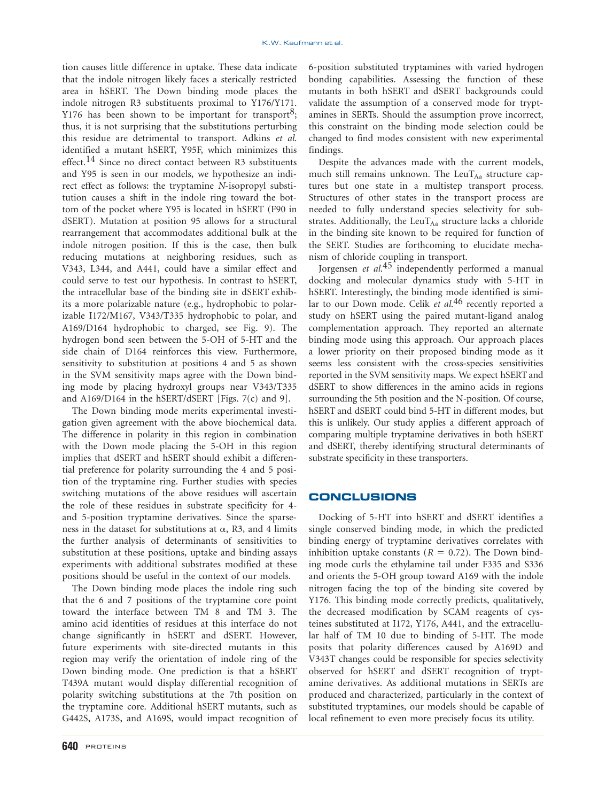tion causes little difference in uptake. These data indicate that the indole nitrogen likely faces a sterically restricted area in hSERT. The Down binding mode places the indole nitrogen R3 substituents proximal to Y176/Y171. Y176 has been shown to be important for transport<sup>8</sup>; thus, it is not surprising that the substitutions perturbing this residue are detrimental to transport. Adkins et al. identified a mutant hSERT, Y95F, which minimizes this effect.<sup>14</sup> Since no direct contact between R3 substituents and Y95 is seen in our models, we hypothesize an indirect effect as follows: the tryptamine N-isopropyl substitution causes a shift in the indole ring toward the bottom of the pocket where Y95 is located in hSERT (F90 in dSERT). Mutation at position 95 allows for a structural rearrangement that accommodates additional bulk at the indole nitrogen position. If this is the case, then bulk reducing mutations at neighboring residues, such as V343, L344, and A441, could have a similar effect and could serve to test our hypothesis. In contrast to hSERT, the intracellular base of the binding site in dSERT exhibits a more polarizable nature (e.g., hydrophobic to polarizable I172/M167, V343/T335 hydrophobic to polar, and A169/D164 hydrophobic to charged, see Fig. 9). The hydrogen bond seen between the 5-OH of 5-HT and the side chain of D164 reinforces this view. Furthermore, sensitivity to substitution at positions 4 and 5 as shown in the SVM sensitivity maps agree with the Down binding mode by placing hydroxyl groups near V343/T335 and A169/D164 in the hSERT/dSERT [Figs. 7(c) and 9].

The Down binding mode merits experimental investigation given agreement with the above biochemical data. The difference in polarity in this region in combination with the Down mode placing the 5-OH in this region implies that dSERT and hSERT should exhibit a differential preference for polarity surrounding the 4 and 5 position of the tryptamine ring. Further studies with species switching mutations of the above residues will ascertain the role of these residues in substrate specificity for 4 and 5-position tryptamine derivatives. Since the sparseness in the dataset for substitutions at  $\alpha$ , R3, and 4 limits the further analysis of determinants of sensitivities to substitution at these positions, uptake and binding assays experiments with additional substrates modified at these positions should be useful in the context of our models.

The Down binding mode places the indole ring such that the 6 and 7 positions of the tryptamine core point toward the interface between TM 8 and TM 3. The amino acid identities of residues at this interface do not change significantly in hSERT and dSERT. However, future experiments with site-directed mutants in this region may verify the orientation of indole ring of the Down binding mode. One prediction is that a hSERT T439A mutant would display differential recognition of polarity switching substitutions at the 7th position on the tryptamine core. Additional hSERT mutants, such as G442S, A173S, and A169S, would impact recognition of

**640** PROTEINS

6-position substituted tryptamines with varied hydrogen bonding capabilities. Assessing the function of these mutants in both hSERT and dSERT backgrounds could validate the assumption of a conserved mode for tryptamines in SERTs. Should the assumption prove incorrect, this constraint on the binding mode selection could be changed to find modes consistent with new experimental findings.

Despite the advances made with the current models, much still remains unknown. The LeuT $_{\text{Aa}}$  structure captures but one state in a multistep transport process. Structures of other states in the transport process are needed to fully understand species selectivity for substrates. Additionally, the LeuT $_{\text{Aa}}$  structure lacks a chloride in the binding site known to be required for function of the SERT. Studies are forthcoming to elucidate mechanism of chloride coupling in transport.

Jorgensen et al.<sup>45</sup> independently performed a manual docking and molecular dynamics study with 5-HT in hSERT. Interestingly, the binding mode identified is similar to our Down mode. Celik et al.<sup>46</sup> recently reported a study on hSERT using the paired mutant-ligand analog complementation approach. They reported an alternate binding mode using this approach. Our approach places a lower priority on their proposed binding mode as it seems less consistent with the cross-species sensitivities reported in the SVM sensitivity maps. We expect hSERT and dSERT to show differences in the amino acids in regions surrounding the 5th position and the N-position. Of course, hSERT and dSERT could bind 5-HT in different modes, but this is unlikely. Our study applies a different approach of comparing multiple tryptamine derivatives in both hSERT and dSERT, thereby identifying structural determinants of substrate specificity in these transporters.

## CONCLUSIONS

Docking of 5-HT into hSERT and dSERT identifies a single conserved binding mode, in which the predicted binding energy of tryptamine derivatives correlates with inhibition uptake constants ( $R = 0.72$ ). The Down binding mode curls the ethylamine tail under F335 and S336 and orients the 5-OH group toward A169 with the indole nitrogen facing the top of the binding site covered by Y176. This binding mode correctly predicts, qualitatively, the decreased modification by SCAM reagents of cysteines substituted at I172, Y176, A441, and the extracellular half of TM 10 due to binding of 5-HT. The mode posits that polarity differences caused by A169D and V343T changes could be responsible for species selectivity observed for hSERT and dSERT recognition of tryptamine derivatives. As additional mutations in SERTs are produced and characterized, particularly in the context of substituted tryptamines, our models should be capable of local refinement to even more precisely focus its utility.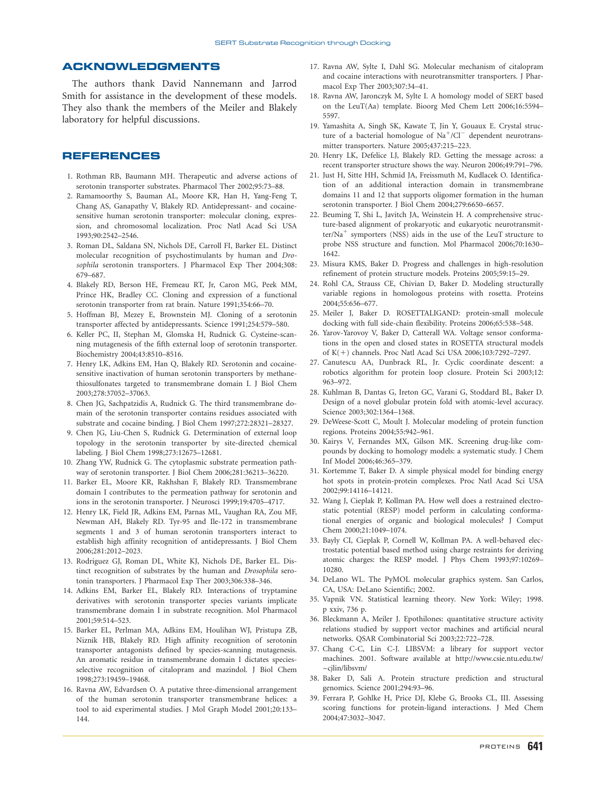# ACKNOWLEDGMENTS

The authors thank David Nannemann and Jarrod Smith for assistance in the development of these models. They also thank the members of the Meiler and Blakely laboratory for helpful discussions.

# REFERENCES

- 1. Rothman RB, Baumann MH. Therapeutic and adverse actions of serotonin transporter substrates. Pharmacol Ther 2002;95:73–88.
- 2. Ramamoorthy S, Bauman AL, Moore KR, Han H, Yang-Feng T, Chang AS, Ganapathy V, Blakely RD. Antidepressant- and cocainesensitive human serotonin transporter: molecular cloning, expression, and chromosomal localization. Proc Natl Acad Sci USA 1993;90:2542–2546.
- 3. Roman DL, Saldana SN, Nichols DE, Carroll FI, Barker EL. Distinct molecular recognition of psychostimulants by human and Drosophila serotonin transporters. J Pharmacol Exp Ther 2004;308: 679–687.
- 4. Blakely RD, Berson HE, Fremeau RT, Jr, Caron MG, Peek MM, Prince HK, Bradley CC. Cloning and expression of a functional serotonin transporter from rat brain. Nature 1991;354:66–70.
- 5. Hoffman BJ, Mezey E, Brownstein MJ. Cloning of a serotonin transporter affected by antidepressants. Science 1991;254:579–580.
- 6. Keller PC, II, Stephan M, Glomska H, Rudnick G. Cysteine-scanning mutagenesis of the fifth external loop of serotonin transporter. Biochemistry 2004;43:8510–8516.
- 7. Henry LK, Adkins EM, Han Q, Blakely RD. Serotonin and cocainesensitive inactivation of human serotonin transporters by methanethiosulfonates targeted to transmembrane domain I. J Biol Chem 2003;278:37052–37063.
- 8. Chen JG, Sachpatzidis A, Rudnick G. The third transmembrane domain of the serotonin transporter contains residues associated with substrate and cocaine binding. J Biol Chem 1997;272:28321–28327.
- 9. Chen JG, Liu-Chen S, Rudnick G. Determination of external loop topology in the serotonin transporter by site-directed chemical labeling. J Biol Chem 1998;273:12675–12681.
- 10. Zhang YW, Rudnick G. The cytoplasmic substrate permeation pathway of serotonin transporter. J Biol Chem 2006;281:36213–36220.
- 11. Barker EL, Moore KR, Rakhshan F, Blakely RD. Transmembrane domain I contributes to the permeation pathway for serotonin and ions in the serotonin transporter. J Neurosci 1999;19:4705–4717.
- 12. Henry LK, Field JR, Adkins EM, Parnas ML, Vaughan RA, Zou MF, Newman AH, Blakely RD. Tyr-95 and Ile-172 in transmembrane segments 1 and 3 of human serotonin transporters interact to establish high affinity recognition of antidepressants. J Biol Chem 2006;281:2012–2023.
- 13. Rodriguez GJ, Roman DL, White KJ, Nichols DE, Barker EL. Distinct recognition of substrates by the human and Drosophila serotonin transporters. J Pharmacol Exp Ther 2003;306:338–346.
- 14. Adkins EM, Barker EL, Blakely RD. Interactions of tryptamine derivatives with serotonin transporter species variants implicate transmembrane domain I in substrate recognition. Mol Pharmacol 2001;59:514–523.
- 15. Barker EL, Perlman MA, Adkins EM, Houlihan WJ, Pristupa ZB, Niznik HB, Blakely RD. High affinity recognition of serotonin transporter antagonists defined by species-scanning mutagenesis. An aromatic residue in transmembrane domain I dictates speciesselective recognition of citalopram and mazindol. J Biol Chem 1998;273:19459–19468.
- 16. Ravna AW, Edvardsen O. A putative three-dimensional arrangement of the human serotonin transporter transmembrane helices: a tool to aid experimental studies. J Mol Graph Model 2001;20:133– 144.
- 17. Ravna AW, Sylte I, Dahl SG. Molecular mechanism of citalopram and cocaine interactions with neurotransmitter transporters. J Pharmacol Exp Ther 2003;307:34–41.
- 18. Ravna AW, Jaronczyk M, Sylte I. A homology model of SERT based on the LeuT(Aa) template. Bioorg Med Chem Lett 2006;16:5594– 5597.
- 19. Yamashita A, Singh SK, Kawate T, Jin Y, Gouaux E. Crystal structure of a bacterial homologue of  $Na^+/Cl^-$  dependent neurotransmitter transporters. Nature 2005;437:215–223.
- 20. Henry LK, Defelice LJ, Blakely RD. Getting the message across: a recent transporter structure shows the way. Neuron 2006;49:791–796.
- 21. Just H, Sitte HH, Schmid JA, Freissmuth M, Kudlacek O. Identification of an additional interaction domain in transmembrane domains 11 and 12 that supports oligomer formation in the human serotonin transporter. J Biol Chem 2004;279:6650–6657.
- 22. Beuming T, Shi L, Javitch JA, Weinstein H. A comprehensive structure-based alignment of prokaryotic and eukaryotic neurotransmit $ter/Na<sup>+</sup>$  symporters (NSS) aids in the use of the LeuT structure to probe NSS structure and function. Mol Pharmacol 2006;70:1630– 1642.
- 23. Misura KMS, Baker D. Progress and challenges in high-resolution refinement of protein structure models. Proteins 2005;59:15–29.
- 24. Rohl CA, Strauss CE, Chivian D, Baker D. Modeling structurally variable regions in homologous proteins with rosetta. Proteins 2004;55:656–677.
- 25. Meiler J, Baker D. ROSETTALIGAND: protein-small molecule docking with full side-chain flexibility. Proteins 2006;65:538–548.
- 26. Yarov-Yarovoy V, Baker D, Catterall WA. Voltage sensor conformations in the open and closed states in ROSETTA structural models of K(1) channels. Proc Natl Acad Sci USA 2006;103:7292–7297.
- 27. Canutescu AA, Dunbrack RL, Jr. Cyclic coordinate descent: a robotics algorithm for protein loop closure. Protein Sci 2003;12: 963–972.
- 28. Kuhlman B, Dantas G, Ireton GC, Varani G, Stoddard BL, Baker D. Design of a novel globular protein fold with atomic-level accuracy. Science 2003;302:1364–1368.
- 29. DeWeese-Scott C, Moult J. Molecular modeling of protein function regions. Proteins 2004;55:942–961.
- 30. Kairys V, Fernandes MX, Gilson MK. Screening drug-like compounds by docking to homology models: a systematic study. J Chem Inf Model 2006;46:365–379.
- 31. Kortemme T, Baker D. A simple physical model for binding energy hot spots in protein-protein complexes. Proc Natl Acad Sci USA 2002;99:14116–14121.
- 32. Wang J, Cieplak P, Kollman PA. How well does a restrained electrostatic potential (RESP) model perform in calculating conformational energies of organic and biological molecules? J Comput Chem 2000;21:1049–1074.
- 33. Bayly CI, Cieplak P, Cornell W, Kollman PA. A well-behaved electrostatic potential based method using charge restraints for deriving atomic charges: the RESP model. J Phys Chem 1993;97:10269– 10280.
- 34. DeLano WL. The PyMOL molecular graphics system. San Carlos, CA, USA: DeLano Scientific; 2002.
- 35. Vapnik VN. Statistical learning theory. New York: Wiley; 1998. p xxiv, 736 p.
- 36. Bleckmann A, Meiler J. Epothilones: quantitative structure activity relations studied by support vector machines and artificial neural networks. QSAR Combinatorial Sci 2003;22:722–728.
- 37. Chang C-C, Lin C-J. LIBSVM: a library for support vector machines. 2001. Software available at http://www.csie.ntu.edu.tw/  $\sim$ cilin/libsvm/
- 38. Baker D, Sali A. Protein structure prediction and structural genomics. Science 2001;294:93–96.
- 39. Ferrara P, Gohlke H, Price DJ, Klebe G, Brooks CL, III. Assessing scoring functions for protein-ligand interactions. J Med Chem 2004;47:3032–3047.